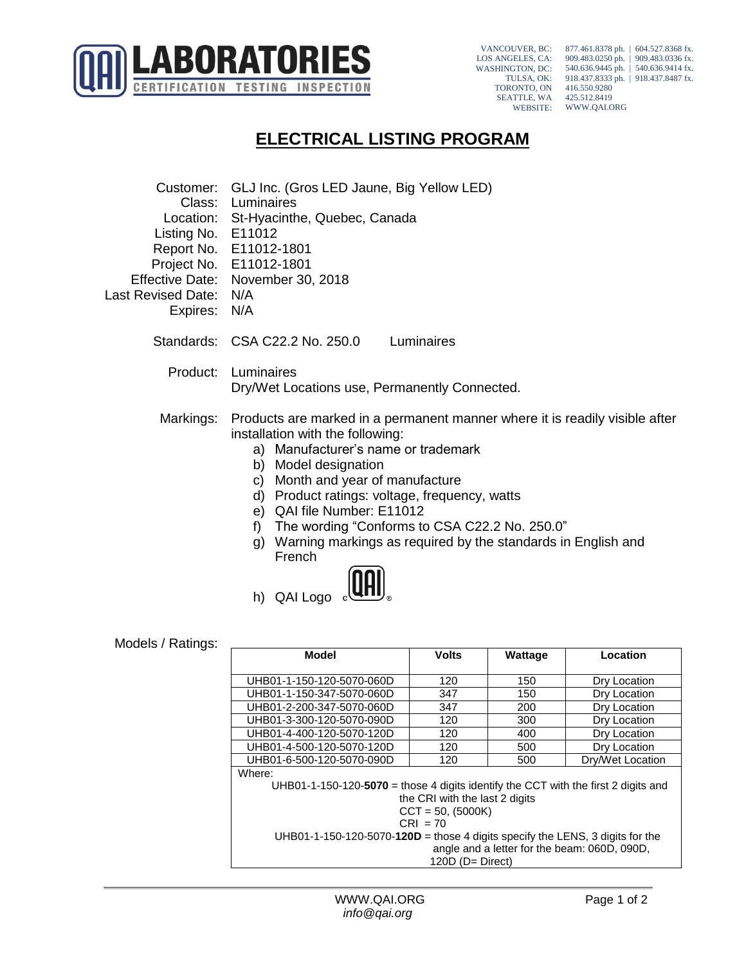

VANCOUVER, BC: LOS ANGELES, CA: WASHINGTON, DC: TULSA, OK: TORONTO, ON SEATTLE, WA WEBSITE:

877.461.8378 ph. | 604.527.8368 fx. 909.483.0250 ph. | 909.483.0336 fx. 540.636.9445 ph. | 540.636.9414 fx. 918.437.8333 ph. | 918.437.8487 fx. 416.550.9280 425.512.8419 WWW.QAI.ORG

## **ELECTRICAL LISTING PROGRAM**

| Class:<br>Listing No.<br><b>Effective Date:</b><br>Last Revised Date:<br>Expires: | Customer: GLJ Inc. (Gros LED Jaune, Big Yellow LED)<br>Luminaires<br>Location: St-Hyacinthe, Quebec, Canada<br>E11012<br>Report No. E11012-1801<br>Project No. E11012-1801<br>November 30, 2018<br>N/A<br>N/A                                                                                                                                                                                                                                           |              |         |                  |
|-----------------------------------------------------------------------------------|---------------------------------------------------------------------------------------------------------------------------------------------------------------------------------------------------------------------------------------------------------------------------------------------------------------------------------------------------------------------------------------------------------------------------------------------------------|--------------|---------|------------------|
|                                                                                   | Standards: CSA C22.2 No. 250.0                                                                                                                                                                                                                                                                                                                                                                                                                          | Luminaires   |         |                  |
| Product:                                                                          | Luminaires<br>Dry/Wet Locations use, Permanently Connected.                                                                                                                                                                                                                                                                                                                                                                                             |              |         |                  |
| Markings:                                                                         | Products are marked in a permanent manner where it is readily visible after<br>installation with the following:<br>a) Manufacturer's name or trademark<br>b) Model designation<br>Month and year of manufacture<br>C)<br>d) Product ratings: voltage, frequency, watts<br>e) QAI file Number: E11012<br>The wording "Conforms to CSA C22.2 No. 250.0"<br>f)<br>g) Warning markings as required by the standards in English and<br>French<br>h) QAI Logo |              |         |                  |
| Models / Ratings:                                                                 |                                                                                                                                                                                                                                                                                                                                                                                                                                                         |              |         |                  |
|                                                                                   | <b>Model</b>                                                                                                                                                                                                                                                                                                                                                                                                                                            | <b>Volts</b> | Wattage | Location         |
|                                                                                   | UHB01-1-150-120-5070-060D                                                                                                                                                                                                                                                                                                                                                                                                                               | 120          | 150     | Dry Location     |
|                                                                                   | UHB01-1-150-347-5070-060D                                                                                                                                                                                                                                                                                                                                                                                                                               | 347          | 150     | Dry Location     |
|                                                                                   | UHB01-2-200-347-5070-060D                                                                                                                                                                                                                                                                                                                                                                                                                               | 347          | 200     | Dry Location     |
|                                                                                   | UHB01-3-300-120-5070-090D                                                                                                                                                                                                                                                                                                                                                                                                                               | 120          | 300     | Dry Location     |
|                                                                                   | UHB01-4-400-120-5070-120D                                                                                                                                                                                                                                                                                                                                                                                                                               | 120          | 400     | Dry Location     |
|                                                                                   | UHB01-4-500-120-5070-120D                                                                                                                                                                                                                                                                                                                                                                                                                               | 120          | 500     | Dry Location     |
|                                                                                   | UHB01-6-500-120-5070-090D                                                                                                                                                                                                                                                                                                                                                                                                                               | 120          | 500     | Dry/Wet Location |
|                                                                                   | Where:<br>UHB01-1-150-120-5070 = those 4 digits identify the CCT with the first 2 digits and<br>the CRI with the last 2 digits<br>$CCT = 50, (5000K)$<br>$CRI = 70$<br>UHB01-1-150-120-5070-120D = those 4 digits specify the LENS, 3 digits for the<br>angle and a letter for the beam: 060D, 090D,                                                                                                                                                    |              |         |                  |
|                                                                                   | 120D (D= Direct)                                                                                                                                                                                                                                                                                                                                                                                                                                        |              |         |                  |